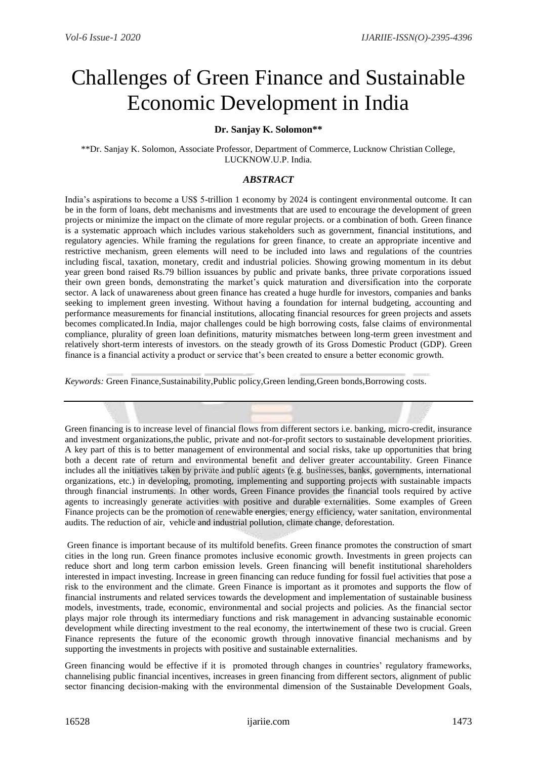# Challenges of Green Finance and Sustainable Economic Development in India

## **Dr. Sanjay K. Solomon\*\***

\*\*Dr. Sanjay K. Solomon, Associate Professor, Department of Commerce, Lucknow Christian College, LUCKNOW.U.P. India.

## *ABSTRACT*

India's aspirations to become a US\$ 5-trillion 1 economy by 2024 is contingent environmental outcome. It can be in the form of loans, debt mechanisms and investments that are used to encourage the development of green projects or minimize the impact on the climate of more regular projects. or a combination of both. Green finance is a systematic approach which includes various stakeholders such as government, financial institutions, and regulatory agencies. While framing the regulations for green finance, to create an appropriate incentive and restrictive mechanism, green elements will need to be included into laws and regulations of the countries including fiscal, taxation, monetary, credit and industrial policies. Showing growing momentum in its debut year green bond raised Rs.79 billion issuances by public and private banks, three private corporations issued their own green bonds, demonstrating the market's quick maturation and diversification into the corporate sector. A lack of unawareness about green finance has created a huge hurdle for investors, companies and banks seeking to implement green investing. Without having a foundation for internal budgeting, accounting and performance measurements for financial institutions, allocating financial resources for green projects and assets becomes complicated.In India, major challenges could be high borrowing costs, false claims of environmental compliance, plurality of green loan definitions, maturity mismatches between long-term green investment and relatively short-term interests of investors. on the steady growth of its Gross Domestic Product (GDP). Green finance is a financial activity a product or service that's been created to ensure a better economic growth.

*Keywords:* [Green Finance,Sustainability,Public policy,Green lending,Green bonds,Borrowing costs.](https://rjhssonline.com/AbstractView.aspx?PID=2021-12-4-6)

Green financing is to increase level of financial flows from different sectors i.e. banking, micro-credit, insurance and investment organizations,the public, private and not-for-profit sectors to sustainable development priorities. A key part of this is to better management of environmental and social risks, take up opportunities that bring both a decent rate of return and environmental benefit and deliver greater accountability. Green Finance includes all the initiatives taken by private and public agents (e.g. businesses, banks, governments, international organizations, etc.) in developing, promoting, implementing and supporting projects with sustainable impacts through financial instruments. In other words, Green Finance provides the financial tools required by active agents to increasingly generate activities with positive and durable externalities. Some examples of Green Finance projects can be the promotion of renewable energies, energy efficiency, water sanitation, environmental audits. The reduction of air, vehicle and industrial pollution, climate change, deforestation.

 Green finance is important because of its multifold benefits. Green finance promotes the construction of smart cities in the long run. Green finance promotes inclusive economic growth. Investments in green projects can reduce short and long term carbon emission levels. Green financing will benefit institutional shareholders interested in impact investing. Increase in green financing can reduce funding for fossil fuel activities that pose a risk to the environment and the climate. Green Finance is important as it promotes and supports the flow of financial instruments and related services towards the development and implementation of sustainable business models, investments, trade, economic, environmental and social projects and policies. As the financial sector plays major role through its intermediary functions and risk management in advancing sustainable economic development while directing investment to the real economy, the intertwinement of these two is crucial. Green Finance represents the future of the economic growth through innovative financial mechanisms and by supporting the investments in projects with positive and sustainable externalities.

Green financing would be effective if it is promoted through changes in countries' regulatory frameworks, channelising public financial incentives, increases in green financing from different sectors, alignment of public sector financing decision-making with the environmental dimension of the Sustainable Development Goals,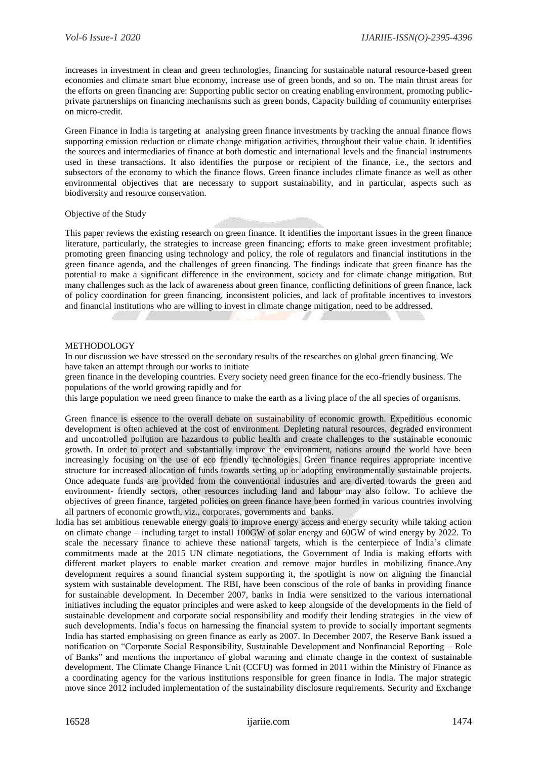increases in investment in clean and green technologies, financing for sustainable natural resource-based green economies and climate smart blue economy, increase use of green bonds, and so on. The main thrust areas for the efforts on green financing are: Supporting public sector on creating enabling environment, promoting publicprivate partnerships on financing mechanisms such as green bonds, Capacity building of community enterprises on micro-credit.

Green Finance in India is targeting at analysing green finance investments by tracking the annual finance flows supporting emission reduction or climate change mitigation activities, throughout their value chain. It identifies the sources and intermediaries of finance at both domestic and international levels and the financial instruments used in these transactions. It also identifies the purpose or recipient of the finance, i.e., the sectors and subsectors of the economy to which the finance flows. Green finance includes climate finance as well as other environmental objectives that are necessary to support sustainability, and in particular, aspects such as biodiversity and resource conservation.

Objective of the Study

This paper reviews the existing research on green finance. It identifies the important issues in the green finance literature, particularly, the strategies to increase green financing; efforts to make green investment profitable; promoting green financing using technology and policy, the role of regulators and financial institutions in the green finance agenda, and the challenges of green financing. The findings indicate that green finance has the potential to make a significant difference in the environment, society and for climate change mitigation. But many challenges such as the lack of awareness about green finance, conflicting definitions of green finance, lack of policy coordination for green financing, inconsistent policies, and lack of profitable incentives to investors and financial institutions who are willing to invest in climate change mitigation, need to be addressed.

#### METHODOLOGY

In our discussion we have stressed on the secondary results of the researches on global green financing. We have taken an attempt through our works to initiate

green finance in the developing countries. Every society need green finance for the eco-friendly business. The populations of the world growing rapidly and for

this large population we need green finance to make the earth as a living place of the all species of organisms.

Green finance is essence to the overall debate on sustainability of economic growth. Expeditious economic development is often achieved at the cost of environment. Depleting natural resources, degraded environment and uncontrolled pollution are hazardous to public health and create challenges to the sustainable economic growth. In order to protect and substantially improve the environment, nations around the world have been increasingly focusing on the use of eco friendly technologies. Green finance requires appropriate incentive structure for increased allocation of funds towards setting up or adopting environmentally sustainable projects. Once adequate funds are provided from the conventional industries and are diverted towards the green and environment- friendly sectors, other resources including land and labour may also follow. To achieve the objectives of green finance, targeted policies on green finance have been formed in various countries involving all partners of economic growth, viz., corporates, governments and banks.

 India has set ambitious renewable energy goals to improve energy access and energy security while taking action on climate change – including target to install 100GW of solar energy and 60GW of wind energy by 2022. To scale the necessary finance to achieve these national targets, which is the centerpiece of India's climate commitments made at the 2015 UN climate negotiations, the Government of India is making efforts with different market players to enable market creation and remove major hurdles in mobilizing finance.Any development requires a sound financial system supporting it, the spotlight is now on aligning the financial system with sustainable development. The RBI, have been conscious of the role of banks in providing finance for sustainable development. In December 2007, banks in India were sensitized to the various international initiatives including the equator principles and were asked to keep alongside of the developments in the field of sustainable development and corporate social responsibility and modify their lending strategies in the view of such developments. India's focus on harnessing the financial system to provide to socially important segments India has started emphasising on green finance as early as 2007. In December 2007, the Reserve Bank issued a notification on "Corporate Social Responsibility, Sustainable Development and Nonfinancial Reporting – Role of Banks" and mentions the importance of global warming and climate change in the context of sustainable development. The Climate Change Finance Unit (CCFU) was formed in 2011 within the Ministry of Finance as a coordinating agency for the various institutions responsible for green finance in India. The major strategic move since 2012 included implementation of the sustainability disclosure requirements. Security and Exchange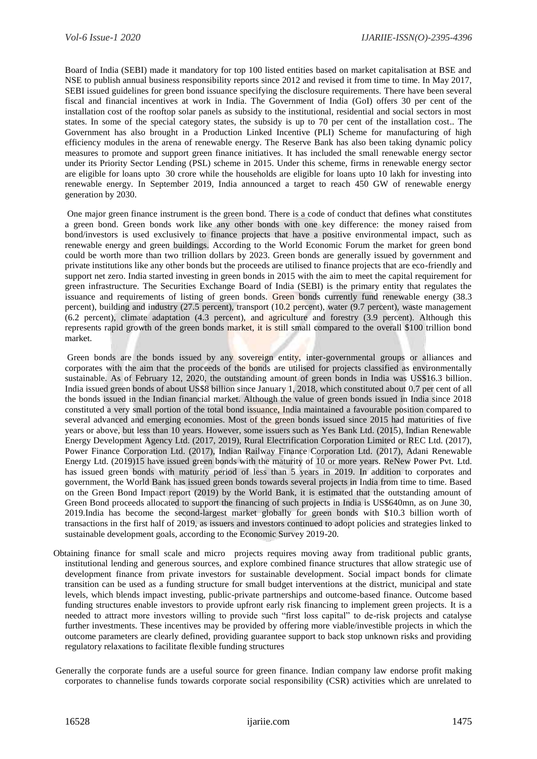Board of India (SEBI) made it mandatory for top 100 listed entities based on market capitalisation at BSE and NSE to publish annual business responsibility reports since 2012 and revised it from time to time. In May 2017, SEBI issued guidelines for green bond issuance specifying the disclosure requirements. There have been several fiscal and financial incentives at work in India. The Government of India (GoI) offers 30 per cent of the installation cost of the rooftop solar panels as subsidy to the institutional, residential and social sectors in most states. In some of the special category states, the subsidy is up to 70 per cent of the installation cost.. The Government has also brought in a Production Linked Incentive (PLI) Scheme for manufacturing of high efficiency modules in the arena of renewable energy. The Reserve Bank has also been taking dynamic policy measures to promote and support green finance initiatives. It has included the small renewable energy sector under its Priority Sector Lending (PSL) scheme in 2015. Under this scheme, firms in renewable energy sector are eligible for loans upto 30 crore while the households are eligible for loans upto 10 lakh for investing into renewable energy. In September 2019, India announced a target to reach 450 GW of renewable energy generation by 2030.

One major green finance instrument is the green bond. There is [a code of conduct that defines what constitutes](https://www.icmagroup.org/assets/documents/Regulatory/Green-Bonds/Green-Bonds-Principles-June-2018-270520.pdf)  [a green bond.](https://www.icmagroup.org/assets/documents/Regulatory/Green-Bonds/Green-Bonds-Principles-June-2018-270520.pdf) Green bonds work like any other bonds with one key difference: the money raised from bond/investors is used exclusively to finance projects that have a positive environmental impact, such as renewable energy and green buildings. According to the World Economic Forum the market for green bond could be worth more than two trillion dollars by 2023. Green bonds are generally issued by government and private institutions like any other bonds but the proceeds are utilised to finance projects that are eco-friendly and support net zero. India started investing in green bonds in 2015 with the aim to meet the capital requirement for green infrastructure. The Securities Exchange Board of India (SEBI) is the primary entity that regulates the issuance and requirements of listing of green bonds. Green bonds currently fund renewable energy (38.3 percent), building and industry (27.5 percent), transport (10.2 percent), water (9.7 percent), waste management (6.2 percent), climate adaptation (4.3 percent), and agriculture and forestry (3.9 percent). Although this represents rapid growth of the green bonds market, it is still small compared to the overall \$100 trillion bond market.

Green bonds are the bonds issued by any sovereign entity, inter-governmental groups or alliances and corporates with the aim that the proceeds of the bonds are utilised for projects classified as environmentally sustainable. As of February 12, 2020, the outstanding amount of green bonds in India was US\$16.3 billion. India issued green bonds of about US\$8 billion since January 1, 2018, which constituted about 0.7 per cent of all the bonds issued in the Indian financial market. Although the value of green bonds issued in India since 2018 constituted a very small portion of the total bond issuance, India maintained a favourable position compared to several advanced and emerging economies. Most of the green bonds issued since 2015 had maturities of five years or above, but less than 10 years. However, some issuers such as Yes Bank Ltd. (2015), Indian Renewable Energy Development Agency Ltd. (2017, 2019), Rural Electrification Corporation Limited or REC Ltd. (2017), Power Finance Corporation Ltd. (2017), Indian Railway Finance Corporation Ltd. (2017), Adani Renewable Energy Ltd. (2019)15 have issued green bonds with the maturity of 10 or more years. ReNew Power Pvt. Ltd. has issued green bonds with maturity period of less than 5 years in 2019. In addition to corporates and government, the World Bank has issued green bonds towards several projects in India from time to time. Based on the Green Bond Impact report (2019) by the World Bank, it is estimated that the outstanding amount of Green Bond proceeds allocated to support the financing of such projects in India is US\$640mn, as on June 30, 2019.India has become the second-largest market globally for green bonds with \$10.3 billion worth of transactions in the first half of 2019, as issuers and investors continued to adopt policies and strategies linked to sustainable development goals, according to the Economic Survey 2019-20.

- Obtaining finance for small scale and micro projects requires moving away from traditional public grants, institutional lending and generous sources, and explore combined finance structures that allow strategic use of development finance from private investors for sustainable development. Social impact bonds for climate transition can be used as a funding structure for small budget interventions at the district, municipal and state levels, which blends impact investing, public-private partnerships and outcome-based finance. Outcome based funding structures enable investors to provide upfront early risk financing to implement green projects. It is a needed to attract more investors willing to provide such "first loss capital" to de-risk projects and catalyse further investments. These incentives may be provided by offering more viable/investible projects in which the outcome parameters are clearly defined, providing guarantee support to back stop unknown risks and providing regulatory relaxations to facilitate flexible funding structures
- Generally the corporate funds are a useful source for green finance. Indian company law endorse profit making corporates to channelise funds towards corporate social responsibility (CSR) activities which are unrelated to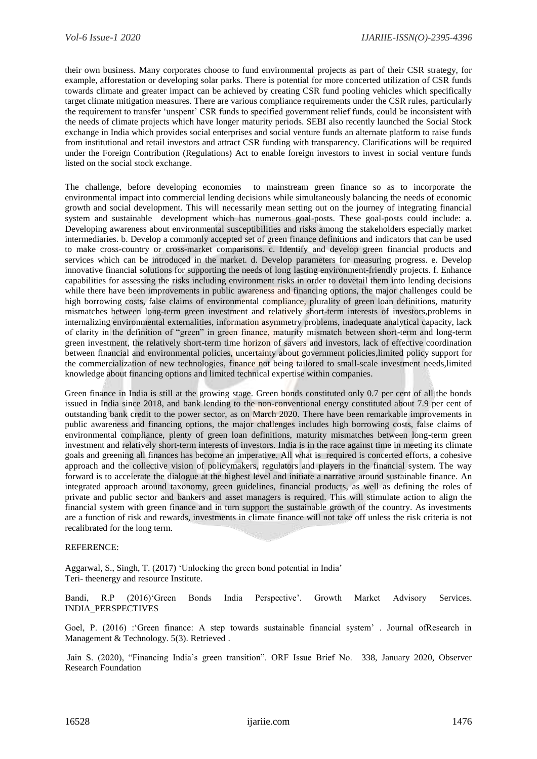their own business. Many corporates choose to fund environmental projects as part of their CSR strategy, for example, afforestation or developing solar parks. There is potential for more concerted utilization of CSR funds towards climate and greater impact can be achieved by creating CSR fund pooling vehicles which specifically target climate mitigation measures. There are various compliance requirements under the CSR rules, particularly the requirement to transfer 'unspent' CSR funds to specified government relief funds, could be inconsistent with the needs of climate projects which have longer maturity periods. SEBI also recently launched the Social Stock exchange in India which provides social enterprises and social venture funds an alternate platform to raise funds from institutional and retail investors and attract CSR funding with transparency. Clarifications will be required under the Foreign Contribution (Regulations) Act to enable foreign investors to invest in social venture funds listed on the social stock exchange.

The challenge, before developing economies to mainstream green finance so as to incorporate the environmental impact into commercial lending decisions while simultaneously balancing the needs of economic growth and social development. This will necessarily mean setting out on the journey of integrating financial system and sustainable development which has numerous goal-posts. These goal-posts could include: a. Developing awareness about environmental susceptibilities and risks among the stakeholders especially market intermediaries. b. Develop a commonly accepted set of green finance definitions and indicators that can be used to make cross-country or cross-market comparisons. c. Identify and develop green financial products and services which can be introduced in the market. d. Develop parameters for measuring progress. e. Develop innovative financial solutions for supporting the needs of long lasting environment-friendly projects. f. Enhance capabilities for assessing the risks including environment risks in order to dovetail them into lending decisions while there have been improvements in public awareness and financing options, the major challenges could be high borrowing costs, false claims of environmental compliance, plurality of green loan definitions, maturity mismatches between long-term green investment and relatively short-term interests of investors,problems in internalizing environmental externalities, information asymmetry problems, inadequate analytical capacity, lack of clarity in the definition of "green" in green finance, maturity mismatch between short-term and long-term green investment, the relatively short-term time horizon of savers and investors, lack of effective coordination between financial and environmental policies, uncertainty about government policies,limited policy support for the commercialization of new technologies, finance not being tailored to small-scale investment needs,limited knowledge about financing options and limited technical expertise within companies.

 Green finance in India is still at the growing stage. Green bonds constituted only 0.7 per cent of all the bonds issued in India since 2018, and bank lending to the non-conventional energy constituted about 7.9 per cent of outstanding bank credit to the power sector, as on March 2020. There have been remarkable improvements in public awareness and financing options, the major challenges includes high borrowing costs, false claims of environmental compliance, plenty of green loan definitions, maturity mismatches between long-term green investment and relatively short-term interests of investors. India is in the race against time in meeting its climate goals and greening all finances has become an imperative. All what is required is concerted efforts, a cohesive approach and the collective vision of policymakers, regulators and players in the financial system. The way forward is to accelerate the dialogue at the highest level and initiate a narrative around sustainable finance. An integrated approach around taxonomy, green guidelines, financial products, as well as defining the roles of private and public sector and bankers and asset managers is required. This will stimulate action to align the financial system with green finance and in turn support the sustainable growth of the country. As investments are a function of risk and rewards, investments in climate finance will not take off unless the risk criteria is not recalibrated for the long term.

#### REFERENCE:

Aggarwal, S., Singh, T. (2017) 'Unlocking the green bond potential in India' Teri- theenergy and resource Institute.

Bandi, R.P (2016)'Green Bonds India Perspective'. Growth Market Advisory Services. INDIA\_PERSPECTIVES

Goel, P. (2016) :'Green finance: A step towards sustainable financial system' . Journal ofResearch in Management & Technology. 5(3). Retrieved.

Jain S. (2020), "Financing India's green transition". ORF Issue Brief No. 338, January 2020, Observer Research Foundation